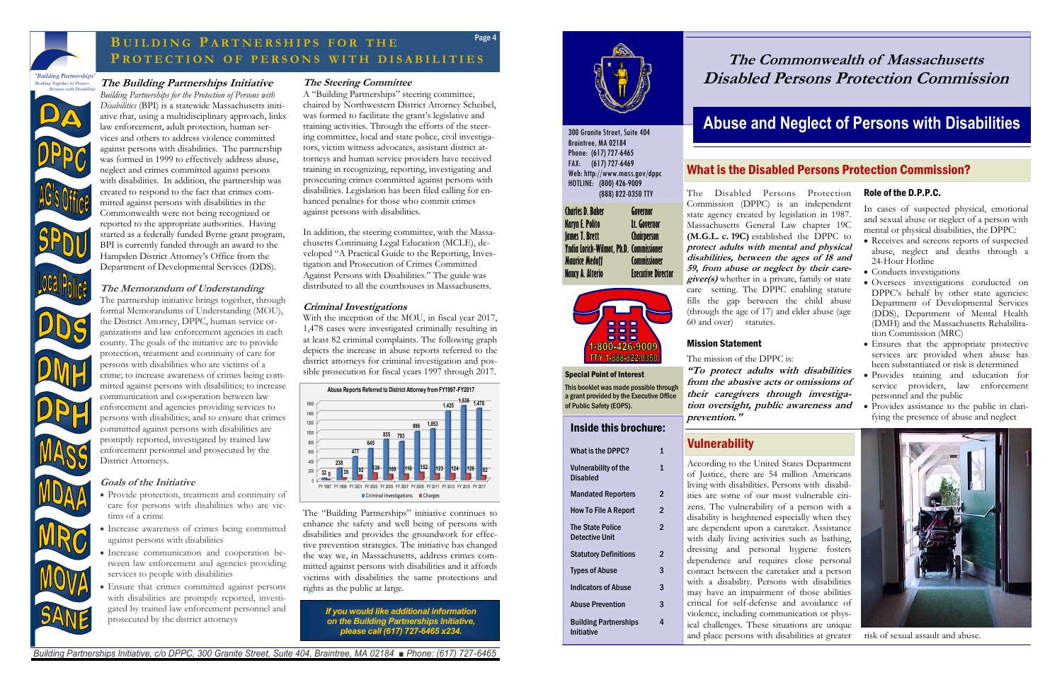### **The Steering Committee**

A "Building Partnerships" steering committee, chaired by Northwestern District Attorney Scheibel, was formed to facilitate the grant's legislative and training activities. Through the efforts of the steering committee, local and state police, civil investigators, victim witness advocates, assistant district attorneys and human service providers have received training in recognizing, reporting, investigating and prosecuting crimes committed against persons with disabilities. Legislation has been filed calling for enhanced penalties for those who commit crimes against persons with disabilities.

In addition, the steering committee, with the Massachusetts Continuing Legal Education (MCLE), developed "A Practical Guide to the Reporting, Investigation and Prosecution of Crimes Committed Against Persons with Disabilities." The guide was distributed to all the courthouses in Massachusetts.

#### **Criminal Investigations**

With the inception of the MOU, in fiscal year 2017, 1,478 cases were investigated criminally resulting in at least 82 criminal complaints. The following graph depicts the increase in abuse reports referred to the district attorneys for criminal investigation and possible prosecution for fiscal years 1997 through 2017.

The "Building Partnerships" initiative continues to enhance the safety and well being of persons with disabilities and provides the groundwork for effective prevention strategies. The initiative has changed the way we, in Massachusetts, address crimes committed against persons with disabilities and it affords victims with disabilities the same protections and rights as the public at large.

### **The Building Partnerships Initiative**

*Building Partnerships for the Protection of Persons with Disabilities* (BPI) is a statewide Massachusetts initiative that, using a multidisciplinary approach, links law enforcement, adult protection, human services and others to address violence committed against persons with disabilities. The partnership was formed in 1999 to effectively address abuse, neglect and crimes committed against persons with disabilities. In addition, the partnership was created to respond to the fact that crimes committed against persons with disabilities in the Commonwealth were not being recognized or reported to the appropriate authorities. Having started as a federally funded Byrne grant program, BPI is currently funded through an award to the Hampden District Attorney's Office from the Department of Developmental Services (DDS).

#### **The Memorandum of Understanding**

The partnership initiative brings together, through formal Memorandums of Understanding (MOU), the District Attorney, DPPC, human service organizations and law enforcement agencies in each county. The goals of the initiative are to provide protection, treatment and continuity of care for persons with disabilities who are victims of a crime; to increase awareness of crimes being committed against persons with disabilities; to increase communication and cooperation between law enforcement and agencies providing services to persons with disabilities; and to ensure that crimes committed against persons with disabilities are promptly reported, investigated by trained law enforcement personnel and prosecuted by the District Attorneys.

#### **Goals of the Initiative**

- Provide protection, treatment and continuity of care for persons with disabilities who are victims of a crime
- Increase awareness of crimes being committed against persons with disabilities
- Increase communication and cooperation between law enforcement and agencies providing services to people with disabilities
- Ensure that crimes committed against persons with disabilities are promptly reported, investigated by trained law enforcement personnel and prosecuted by the district attorneys

## What is the DPPC?  $1$ Inside this brochure:

*Building Partnerships Initiative, c/o DPPC, 300 Granite Street, Suite 404, Braintree, MA 02184 ■ Phone: (617) 727-6465*



## Page 4 **B U I L D I N G P A R T N E R S H I P S FOR T H E P R O T E C T I O N O F P E R S O N S W I T H D I S A B I L I T I E S**

*If you would like additional information on the Building Partnerships Initiative, please call (617) 727-6465 x234.*







risk of sexual assault and abuse.

The Disabled Persons Protection Commission (DPPC) is an independent state agency created by legislation in 1987. Massachusetts General Law chapter 19C **(M.G.L. c. 19C)** established the DPPC to **protect adults with mental and physical disabilities, between the ages of 18 and 59, from abuse or neglect by their caregiver(s)** whether in a private, family or state care setting. The DPPC enabling statute fills the gap between the child abuse (through the age of 17) and elder abuse (age

60 and over) statutes. Mission Statement

> The mission of the DPPC is: **"To protect adults with disabilities from the abusive acts or omissions of their caregivers through investigation oversight, public awareness and prevention."**

## **Vulnerability**

| WHAL IS UIT DI T V :                             | л.             |
|--------------------------------------------------|----------------|
| <b>Vulnerability of the</b><br>Disabled          | 1              |
| <b>Mandated Reporters</b>                        | 2              |
| How To File A Report                             | $\overline{2}$ |
| <b>The State Police</b><br><b>Detective Unit</b> | $\overline{2}$ |
| <b>Statutory Definitions</b>                     | 2              |
| <b>Types of Abuse</b>                            | 3              |
| <b>Indicators of Abuse</b>                       | 3              |
| <b>Abuse Prevention</b>                          | 3              |
| <b>Building Partnerships</b><br>Initiative       | 4              |

According to the United States Department of Justice, there are 54 million Americans living with disabilities. Persons with disabilities are some of our most vulnerable citizens. The vulnerability of a person with a disability is heightened especially when they are dependent upon a caretaker. Assistance with daily living activities such as bathing, dressing and personal hygiene fosters dependence and requires close personal contact between the caretaker and a person with a disability. Persons with disabilities may have an impairment of those abilities critical for self-defense and avoidance of violence, including communication or physical challenges. These situations are unique and place persons with disabilities at greater

#### Special Point of Interest

This booklet was made possible through a grant provided by the Executive Office of Public Safety (EOPS).

## What is the Disabled Persons Protection Commission?

300 Granite Street, Suite 404 Braintree, MA 02184 Phone: (617) 727-6465 FAX: (617) 727-6469 Web: http://www.mass.gov/dppc HOTLINE: (800) 426-9009

(888) 822-0350 TTY

**Charles D. Baker Governor Karyn E. Polito Lt. Governor James T. Brett Chairperson Yndia Lorick-Wilmot, Ph.D. Commissioner Maurice Medoff Commissioner Nancy A. Alterio Executive Director**



# **The Commonwealth of Massachusetts Disabled Persons Protection Commission**

# **Abuse and Neglect of Persons with Disabilities**

#### Role of the D.P.P.C.

In cases of suspected physical, emotional and sexual abuse or neglect of a person with mental or physical disabilities, the DPPC:

- Receives and screens reports of suspected abuse, neglect and deaths through a 24-Hour Hotline
- Conducts investigations
- Oversees investigations conducted on DPPC's behalf by other state agencies: Department of Developmental Services (DDS), Department of Mental Health (DMH) and the Massachusetts Rehabilitation Commission (MRC)
- Ensures that the appropriate protective services are provided when abuse has been substantiated or risk is determined
- Provides training and education for service providers, law enforcement personnel and the public
- Provides assistance to the public in clarifying the presence of abuse and neglect